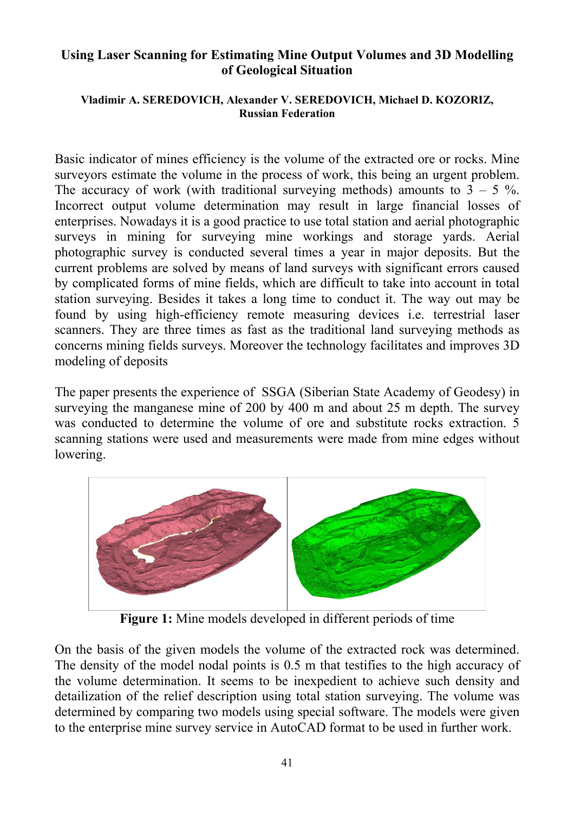## **Using Laser Scanning for Estimating Mine Output Volumes and 3D Modelling of Geological Situation**

## **Vladimir A. SEREDOVICH, Alexander V. SEREDOVICH, Michael D. KOZORIZ, Russian Federation**

Basic indicator of mines efficiency is the volume of the extracted ore or rocks. Mine surveyors estimate the volume in the process of work, this being an urgent problem. The accuracy of work (with traditional surveying methods) amounts to  $3 - 5\%$ . Incorrect output volume determination may result in large financial losses of enterprises. Nowadays it is a good practice to use total station and aerial photographic surveys in mining for surveying mine workings and storage yards. Aerial photographic survey is conducted several times a year in major deposits. But the current problems are solved by means of land surveys with significant errors caused by complicated forms of mine fields, which are difficult to take into account in total station surveying. Besides it takes a long time to conduct it. The way out may be found by using high-efficiency remote measuring devices i.e. terrestrial laser scanners. They are three times as fast as the traditional land surveying methods as concerns mining fields surveys. Moreover the technology facilitates and improves 3D modeling of deposits

The paper presents the experience of SSGA (Siberian State Academy of Geodesy) in surveying the manganese mine of 200 by 400 m and about 25 m depth. The survey was conducted to determine the volume of ore and substitute rocks extraction. 5 scanning stations were used and measurements were made from mine edges without lowering.



**Figure 1:** Mine models developed in different periods of time

On the basis of the given models the volume of the extracted rock was determined. The density of the model nodal points is 0.5 m that testifies to the high accuracy of the volume determination. It seems to be inexpedient to achieve such density and detailization of the relief description using total station surveying. The volume was determined by comparing two models using special software. The models were given to the enterprise mine survey service in AutoCAD format to be used in further work.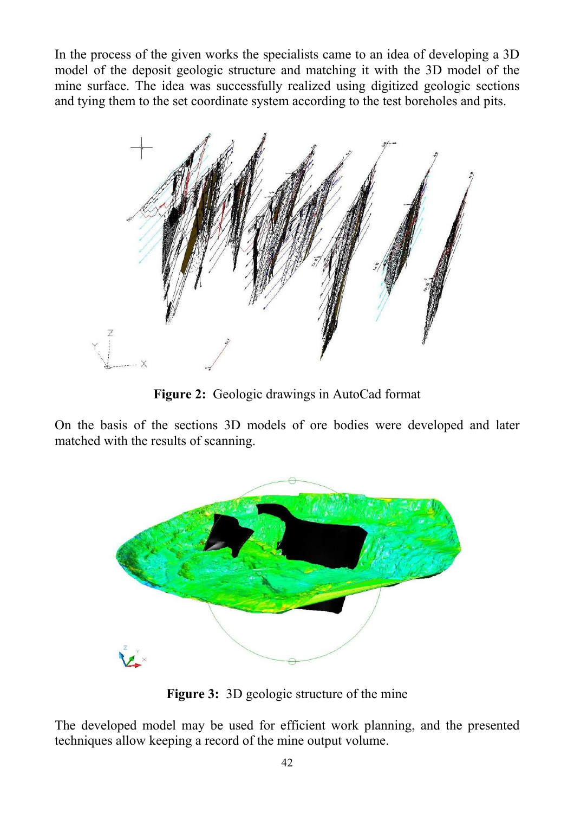In the process of the given works the specialists came to an idea of developing a 3D model of the deposit geologic structure and matching it with the 3D model of the mine surface. The idea was successfully realized using digitized geologic sections and tying them to the set coordinate system according to the test boreholes and pits.



**Figure 2:** Geologic drawings in AutoCad format

On the basis of the sections 3D models of ore bodies were developed and later matched with the results of scanning.



**Figure 3:** 3D geologic structure of the mine

The developed model may be used for efficient work planning, and the presented techniques allow keeping a record of the mine output volume.